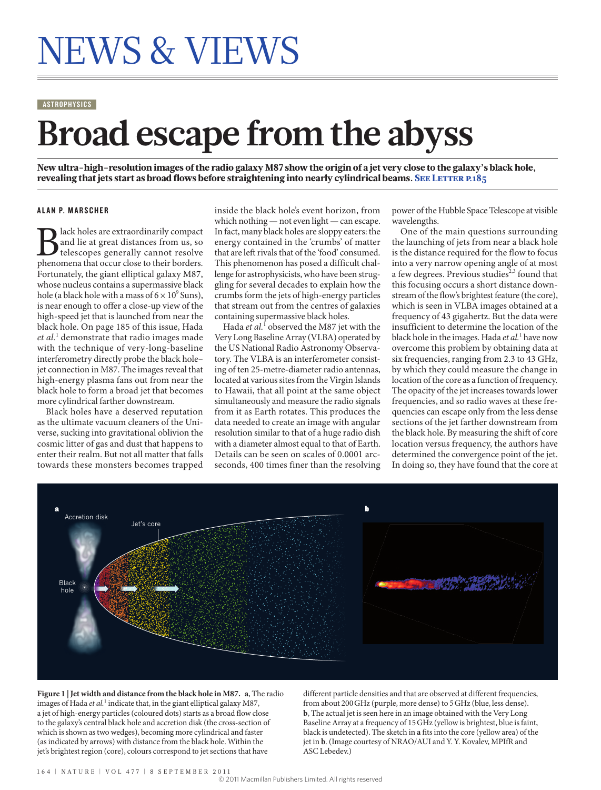# NEWS & VIEWS

#### **ASTROPHYSICS**

## **Broad escape from the abyss**

New ultra-high-resolution images of the radio galaxy M87 show the origin of a jet very close to the galaxy's black hole, revealing that jets start as broad flows before straightening into nearly cylindrical beams. SEE LETTER P.185

#### **ALAN P. MARSCHER**

**B** lack holes are extraordinarily compact and lie at great distances from us, so telescopes generally cannot resolve phenomena that occur close to their borders. and lie at great distances from us, so telescopes generally cannot resolve Fortunately, the giant elliptical galaxy M87, whose nucleus contains a supermassive black hole (a black hole with a mass of  $6 \times 10^9$  Suns), is near enough to offer a close-up view of the high-speed jet that is launched from near the black hole. On page 185 of this issue, Hada *et al.*<sup>1</sup> demonstrate that radio images made with the technique of very-long-baseline interferometry directly probe the black hole– jet connection in M87. The images reveal that high-energy plasma fans out from near the black hole to form a broad jet that becomes more cylindrical farther downstream.

Black holes have a deserved reputation as the ultimate vacuum cleaners of the Universe, sucking into gravitational oblivion the cosmic litter of gas and dust that happens to enter their realm. But not all matter that falls towards these monsters becomes trapped inside the black hole's event horizon, from which nothing — not even light — can escape. In fact, many black holes are sloppy eaters: the energy contained in the 'crumbs' of matter that are left rivals that of the 'food' consumed. This phenomenon has posed a difficult challenge for astrophysicists, who have been struggling for several decades to explain how the crumbs form the jets of high-energy particles that stream out from the centres of galaxies containing supermassive black holes.

Hada *et al*.<sup>1</sup> observed the M87 jet with the Very Long Baseline Array (VLBA) operated by the US National Radio Astronomy Observatory. The VLBA is an interferometer consisting of ten 25-metre-diameter radio antennas, located at various sites from the Virgin Islands to Hawaii, that all point at the same object simultaneously and measure the radio signals from it as Earth rotates. This produces the data needed to create an image with angular resolution similar to that of a huge radio dish with a diameter almost equal to that of Earth. Details can be seen on scales of 0.0001 arcseconds, 400 times finer than the resolving

power of the Hubble Space Telescope at visible wavelengths.

One of the main questions surrounding the launching of jets from near a black hole is the distance required for the flow to focus into a very narrow opening angle of at most a few degrees. Previous studies<sup>2,3</sup> found that this focusing occurs a short distance downstream of the flow's brightest feature (the core), which is seen in VLBA images obtained at a frequency of 43 gigahertz. But the data were insufficient to determine the location of the black hole in the images. Hada *et al.*<sup>1</sup> have now overcome this problem by obtaining data at six frequencies, ranging from 2.3 to 43 GHz, by which they could measure the change in location of the core as a function of frequency. The opacity of the jet increases towards lower frequencies, and so radio waves at these frequencies can escape only from the less dense sections of the jet farther downstream from the black hole. By measuring the shift of core location versus frequency, the authors have determined the convergence point of the jet. In doing so, they have found that the core at



**Figure 1 | Jet width and distance from the black hole in M87. a**, The radio images of Hada et al.<sup>1</sup> indicate that, in the giant elliptical galaxy M87, a jet of high-energy particles (coloured dots) starts as a broad flow close to the galaxy's central black hole and accretion disk (the cross-section of which is shown as two wedges), becoming more cylindrical and faster (as indicated by arrows) with distance from the black hole. Within the jet's brightest region (core), colours correspond to jet sections that have

different particle densities and that are observed at different frequencies, from about 200GHz (purple, more dense) to 5GHz (blue, less dense). **b**, The actual jet is seen here in an image obtained with the Very Long Baseline Array at a frequency of 15GHz (yellow is brightest, blue is faint, black is undetected). The sketch in **a** fits into the core (yellow area) of the jet in **b**. (Image courtesy of NRAO/AUI and Y. Y. Kovalev, MPIfR and ASC Lebedev.)